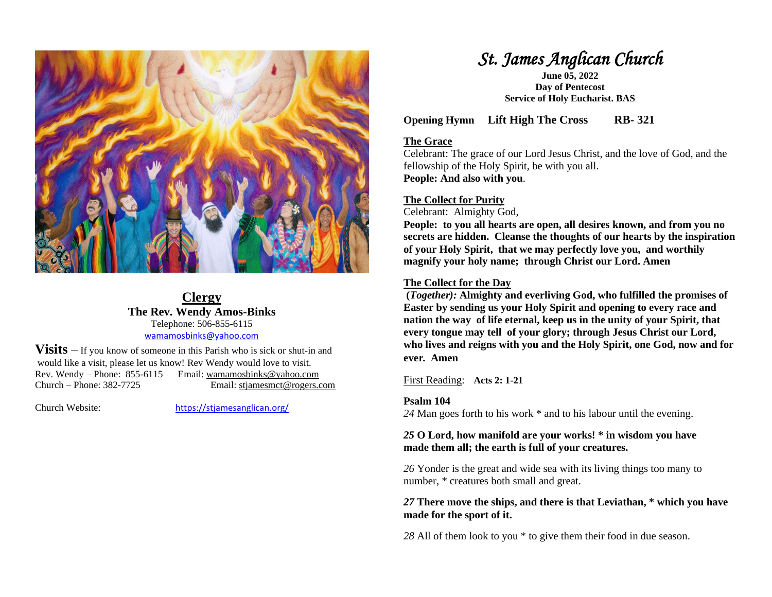

### **Clergy The Rev. Wendy Amos-Binks** Telephone: 506-855-6115 [wamamosbinks@yahoo.com](mailto:wamamosbinks@yahoo.com)

**Visits** – If you know of someone in this Parish who is sick or shut-in and would like a visit, please let us know! Rev Wendy would love to visit. Rev. Wendy – Phone: 855-6115 Email: wamamosbinks@yahoo.com Church – Phone: 382-7725 Email: [stjamesmct@rogers.com](mailto:stjamesmct@rogers.com)

Church Website: <https://stjamesanglican.org/>

# *St. James Anglican Church*

**June 05, 2022 Day of Pentecost Service of Holy Eucharist. BAS**

**Opening Hymn Lift High The Cross RB- 321**

### **The Grace**

Celebrant: The grace of our Lord Jesus Christ, and the love of God, and the fellowship of the Holy Spirit, be with you all. **People: And also with you**.

### **The Collect for Purity**

Celebrant: Almighty God,

**People: to you all hearts are open, all desires known, and from you no secrets are hidden. Cleanse the thoughts of our hearts by the inspiration of your Holy Spirit, that we may perfectly love you, and worthily magnify your holy name; through Christ our Lord. Amen**

### **The Collect for the Day**

**(***Together):* **Almighty and everliving God, who fulfilled the promises of Easter by sending us your Holy Spirit and opening to every race and nation the way of life eternal, keep us in the unity of your Spirit, that every tongue may tell of your glory; through Jesus Christ our Lord, who lives and reigns with you and the Holy Spirit, one God, now and for ever. Amen**

First Reading: **Acts 2: 1-21**

### **Psalm 104**

*24* Man goes forth to his work \* and to his labour until the evening.

### *25* **O Lord, how manifold are your works! \* in wisdom you have made them all; the earth is full of your creatures.**

*26* Yonder is the great and wide sea with its living things too many to number, \* creatures both small and great.

### *27* **There move the ships, and there is that Leviathan, \* which you have made for the sport of it.**

*28* All of them look to you \* to give them their food in due season.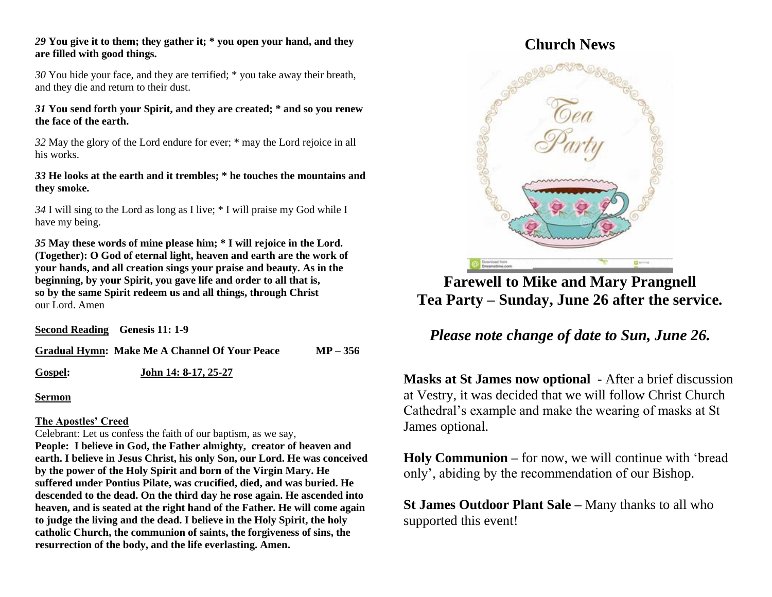### *29* **You give it to them; they gather it; \* you open your hand, and they are filled with good things.**

*30* You hide your face, and they are terrified; \* you take away their breath, and they die and return to their dust.

### *31* **You send forth your Spirit, and they are created; \* and so you renew the face of the earth.**

*32* May the glory of the Lord endure for ever; \* may the Lord rejoice in all his works.

### *33* **He looks at the earth and it trembles; \* he touches the mountains and they smoke.**

*34* I will sing to the Lord as long as I live; \* I will praise my God while I have my being.

*35* **May these words of mine please him; \* I will rejoice in the Lord. (Together): O God of eternal light, heaven and earth are the work of your hands, and all creation sings your praise and beauty. As in the beginning, by your Spirit, you gave life and order to all that is, so by the same Spirit redeem us and all things, through Christ** our Lord. Amen

**Second Reading Genesis 11: 1-9**

**Gradual Hymn: Make Me A Channel Of Your Peace MP – 356**

**Gospel: John 14: 8-17, 25-27**

**Sermon**

### **The Apostles' Creed**

Celebrant: Let us confess the faith of our baptism, as we say,

**People: I believe in God, the Father almighty, creator of heaven and earth. I believe in Jesus Christ, his only Son, our Lord. He was conceived by the power of the Holy Spirit and born of the Virgin Mary. He suffered under Pontius Pilate, was crucified, died, and was buried. He descended to the dead. On the third day he rose again. He ascended into heaven, and is seated at the right hand of the Father. He will come again to judge the living and the dead. I believe in the Holy Spirit, the holy catholic Church, the communion of saints, the forgiveness of sins, the resurrection of the body, and the life everlasting. Amen.**

## **Church News**



**Farewell to Mike and Mary Prangnell Tea Party – Sunday, June 26 after the service***.*

## *Please note change of date to Sun, June 26.*

**Masks at St James now optional** - After a brief discussion at Vestry, it was decided that we will follow Christ Church Cathedral's example and make the wearing of masks at St James optional.

**Holy Communion –** for now, we will continue with 'bread only', abiding by the recommendation of our Bishop.

**St James Outdoor Plant Sale –** Many thanks to all who supported this event!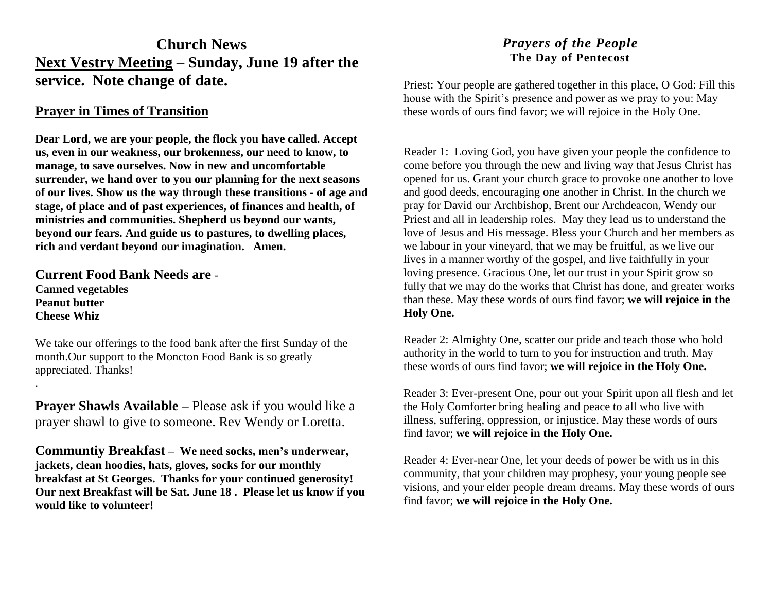## **Church News Next Vestry Meeting – Sunday, June 19 after the service. Note change of date.**

### **Prayer in Times of Transition**

**Dear Lord, we are your people, the flock you have called. Accept us, even in our weakness, our brokenness, our need to know, to manage, to save ourselves. Now in new and uncomfortable surrender, we hand over to you our planning for the next seasons of our lives. Show us the way through these transitions - of age and stage, of place and of past experiences, of finances and health, of ministries and communities. Shepherd us beyond our wants, beyond our fears. And guide us to pastures, to dwelling places, rich and verdant beyond our imagination. Amen.**

**Current Food Bank Needs are** - **Canned vegetables Peanut butter Cheese Whiz**

.

We take our offerings to the food bank after the first Sunday of the month.Our support to the Moncton Food Bank is so greatly appreciated. Thanks!

**Prayer Shawls Available –** Please ask if you would like a prayer shawl to give to someone. Rev Wendy or Loretta.

**Communtiy Breakfast – We need socks, men's underwear, jackets, clean hoodies, hats, gloves, socks for our monthly breakfast at St Georges. Thanks for your continued generosity! Our next Breakfast will be Sat. June 18 . Please let us know if you would like to volunteer!**

### *Prayers of the People* **The Day of Pentecost**

Priest: Your people are gathered together in this place, O God: Fill this house with the Spirit's presence and power as we pray to you: May these words of ours find favor; we will rejoice in the Holy One.

Reader 1: Loving God, you have given your people the confidence to come before you through the new and living way that Jesus Christ has opened for us. Grant your church grace to provoke one another to love and good deeds, encouraging one another in Christ. In the church we pray for David our Archbishop, Brent our Archdeacon, Wendy our Priest and all in leadership roles. May they lead us to understand the love of Jesus and His message. Bless your Church and her members as we labour in your vineyard, that we may be fruitful, as we live our lives in a manner worthy of the gospel, and live faithfully in your loving presence. Gracious One, let our trust in your Spirit grow so fully that we may do the works that Christ has done, and greater works than these. May these words of ours find favor; **we will rejoice in the Holy One.**

Reader 2: Almighty One, scatter our pride and teach those who hold authority in the world to turn to you for instruction and truth. May these words of ours find favor; **we will rejoice in the Holy One.**

Reader 3: Ever-present One, pour out your Spirit upon all flesh and let the Holy Comforter bring healing and peace to all who live with illness, suffering, oppression, or injustice. May these words of ours find favor; **we will rejoice in the Holy One.**

Reader 4: Ever-near One, let your deeds of power be with us in this community, that your children may prophesy, your young people see visions, and your elder people dream dreams. May these words of ours find favor; **we will rejoice in the Holy One.**